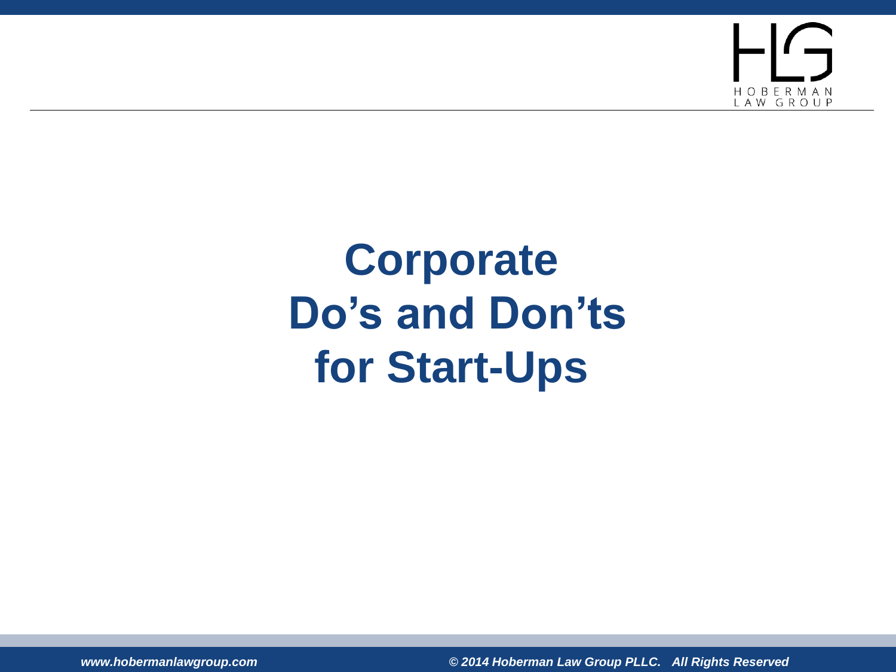H O B E R M A N<br>L A W G R O U P

### **Corporate Do's and Don'ts for Start-Ups**

*www.hobermanlawgroup.com © 2014 Hoberman Law Group PLLC. All Rights Reserved*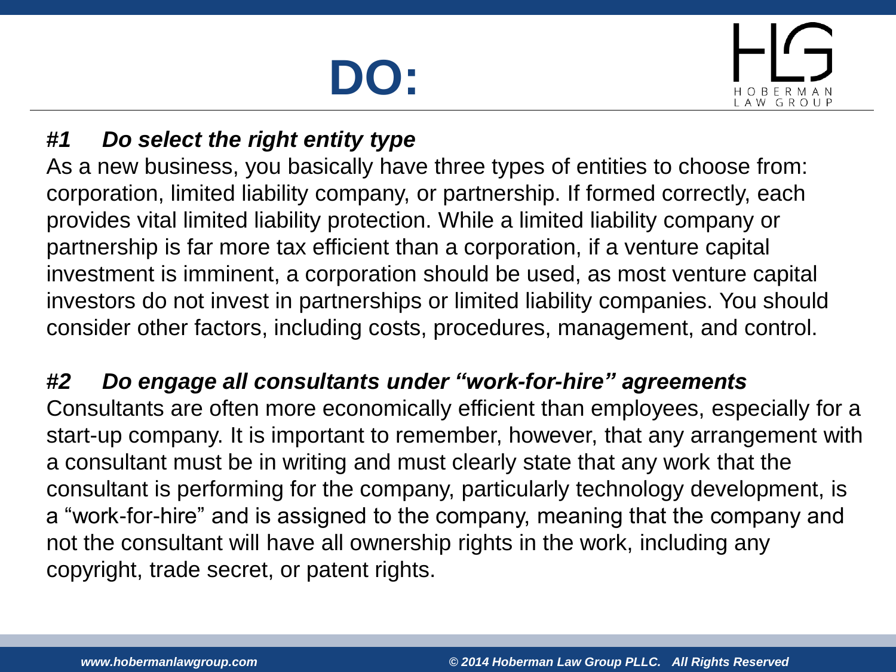# **DO:**



### *#1 Do select the right entity type*

As a new business, you basically have three types of entities to choose from: corporation, limited liability company, or partnership. If formed correctly, each provides vital limited liability protection. While a limited liability company or partnership is far more tax efficient than a corporation, if a venture capital investment is imminent, a corporation should be used, as most venture capital investors do not invest in partnerships or limited liability companies. You should consider other factors, including costs, procedures, management, and control.

### *#2 Do engage all consultants under "work-for-hire" agreements*

Consultants are often more economically efficient than employees, especially for a start-up company. It is important to remember, however, that any arrangement with a consultant must be in writing and must clearly state that any work that the consultant is performing for the company, particularly technology development, is a "work-for-hire" and is assigned to the company, meaning that the company and not the consultant will have all ownership rights in the work, including any copyright, trade secret, or patent rights.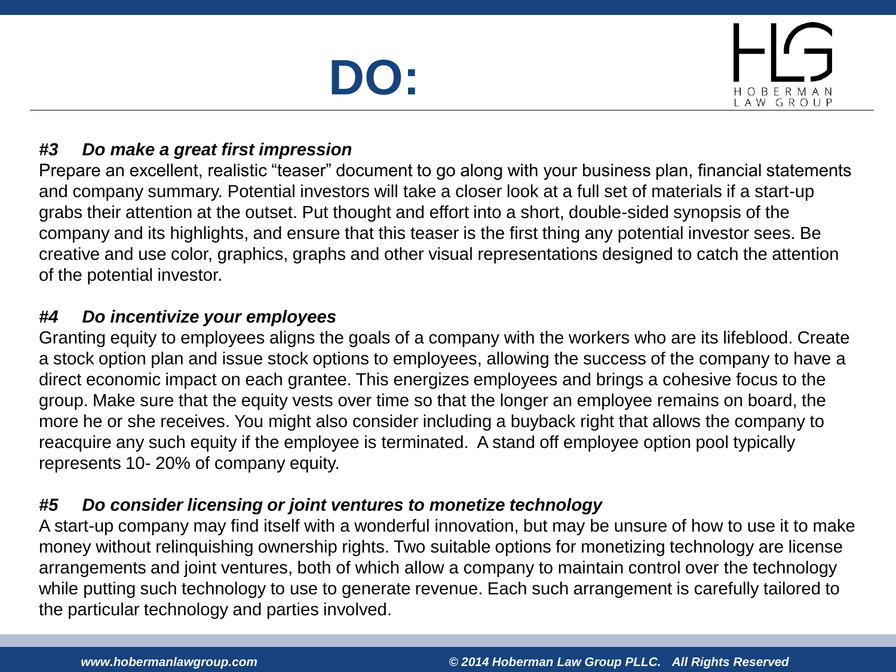## **DO:**



#### *#3 Do make a great first impression*

Prepare an excellent, realistic "teaser" document to go along with your business plan, financial statements and company summary. Potential investors will take a closer look at a full set of materials if a start-up grabs their attention at the outset. Put thought and effort into a short, double-sided synopsis of the company and its highlights, and ensure that this teaser is the first thing any potential investor sees. Be creative and use color, graphics, graphs and other visual representations designed to catch the attention of the potential investor.

#### *#4 Do incentivize your employees*

Granting equity to employees aligns the goals of a company with the workers who are its lifeblood. Create a stock option plan and issue stock options to employees, allowing the success of the company to have a direct economic impact on each grantee. This energizes employees and brings a cohesive focus to the group. Make sure that the equity vests over time so that the longer an employee remains on board, the more he or she receives. You might also consider including a buyback right that allows the company to reacquire any such equity if the employee is terminated. A stand off employee option pool typically represents 10- 20% of company equity.

#### *#5 Do consider licensing or joint ventures to monetize technology*

A start-up company may find itself with a wonderful innovation, but may be unsure of how to use it to make money without relinquishing ownership rights. Two suitable options for monetizing technology are license arrangements and joint ventures, both of which allow a company to maintain control over the technology while putting such technology to use to generate revenue. Each such arrangement is carefully tailored to the particular technology and parties involved.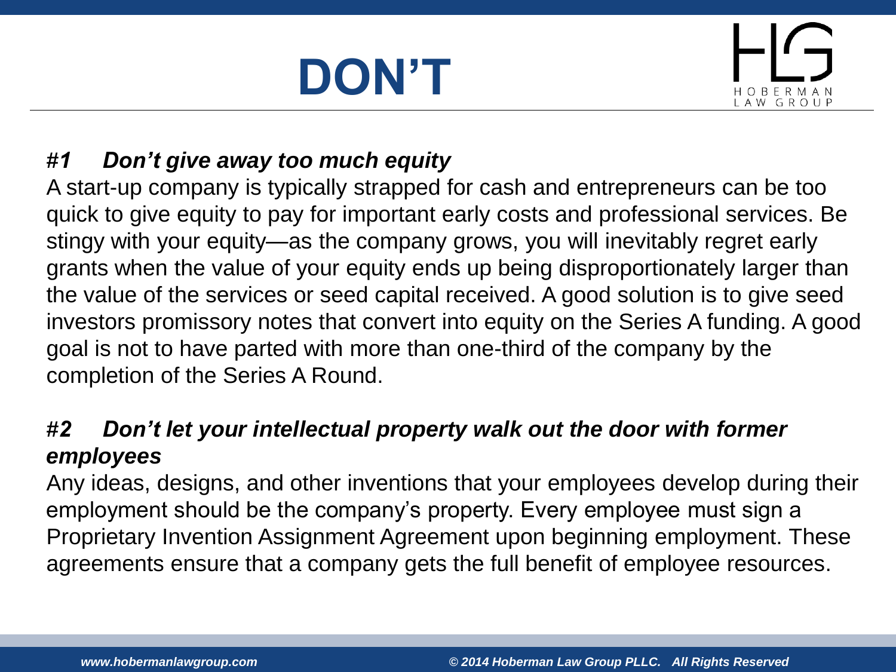# **DON'T**



### *#1 Don't give away too much equity*

A start-up company is typically strapped for cash and entrepreneurs can be too quick to give equity to pay for important early costs and professional services. Be stingy with your equity—as the company grows, you will inevitably regret early grants when the value of your equity ends up being disproportionately larger than the value of the services or seed capital received. A good solution is to give seed investors promissory notes that convert into equity on the Series A funding. A good goal is not to have parted with more than one-third of the company by the completion of the Series A Round.

### *#2 Don't let your intellectual property walk out the door with former employees*

Any ideas, designs, and other inventions that your employees develop during their employment should be the company's property. Every employee must sign a Proprietary Invention Assignment Agreement upon beginning employment. These agreements ensure that a company gets the full benefit of employee resources.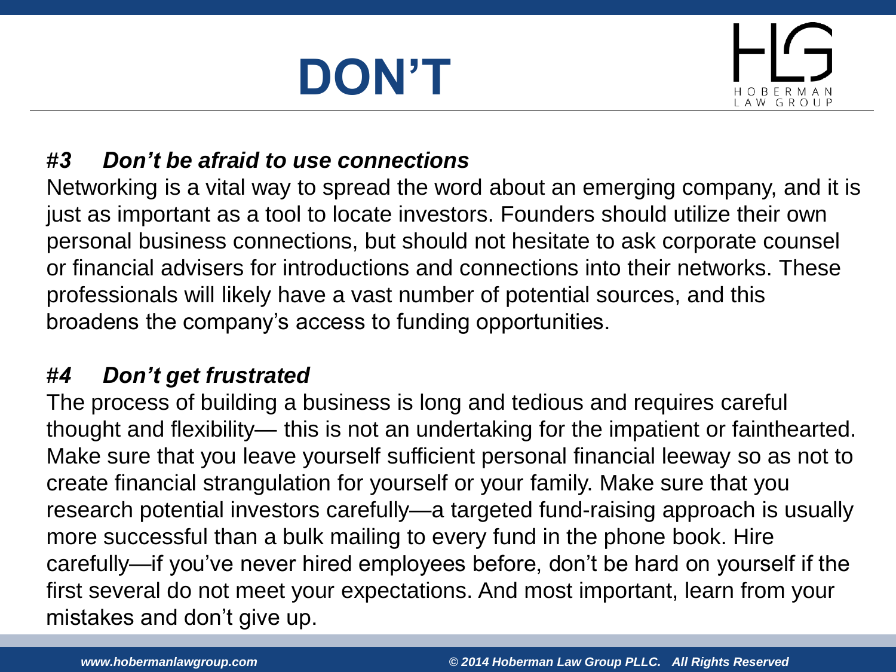# **DON'T**



### *#3 Don't be afraid to use connections*

Networking is a vital way to spread the word about an emerging company, and it is just as important as a tool to locate investors. Founders should utilize their own personal business connections, but should not hesitate to ask corporate counsel or financial advisers for introductions and connections into their networks. These professionals will likely have a vast number of potential sources, and this broadens the company's access to funding opportunities.

### *#4 Don't get frustrated*

The process of building a business is long and tedious and requires careful thought and flexibility— this is not an undertaking for the impatient or fainthearted. Make sure that you leave yourself sufficient personal financial leeway so as not to create financial strangulation for yourself or your family. Make sure that you research potential investors carefully—a targeted fund-raising approach is usually more successful than a bulk mailing to every fund in the phone book. Hire carefully—if you've never hired employees before, don't be hard on yourself if the first several do not meet your expectations. And most important, learn from your mistakes and don't give up.